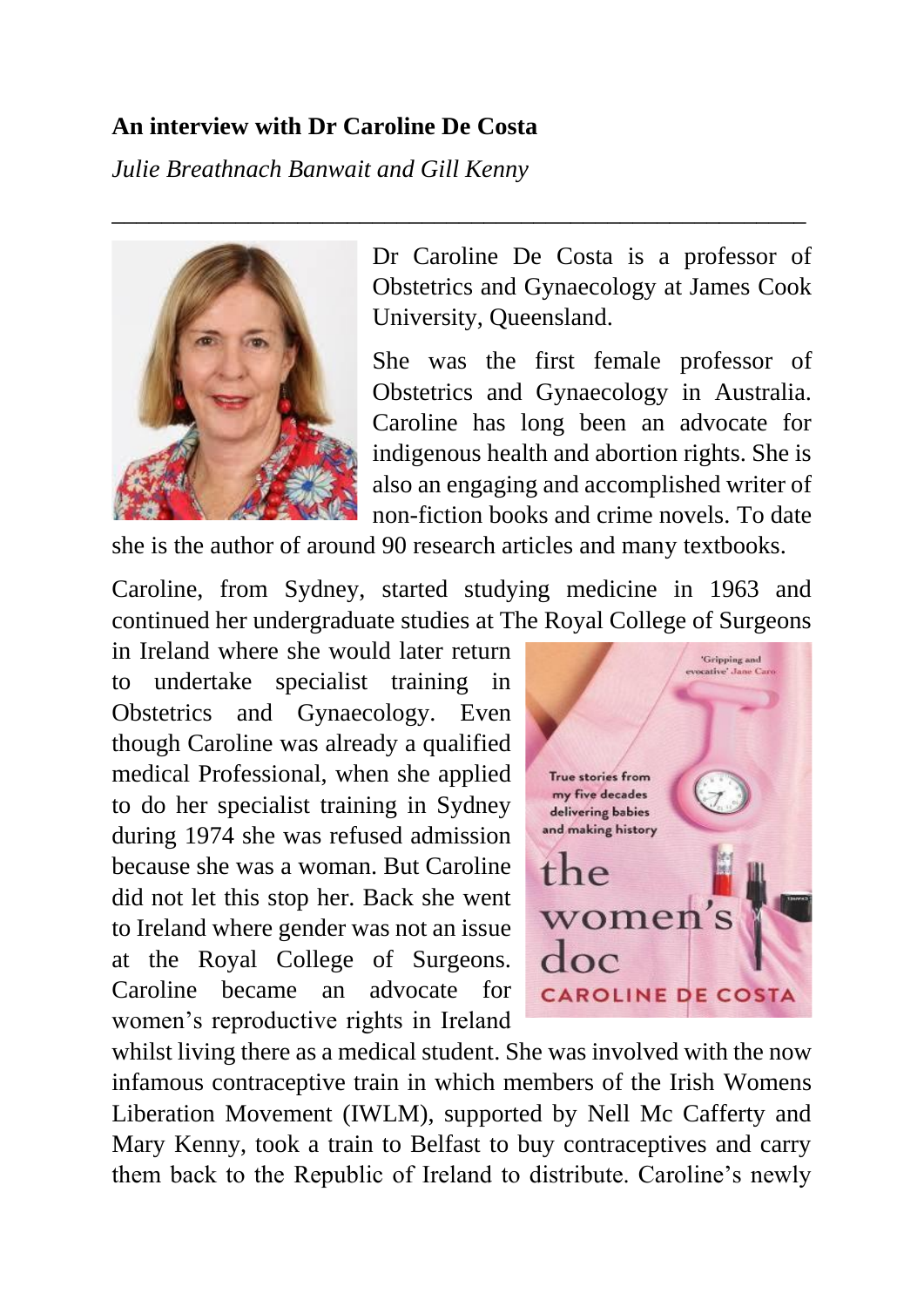#### **An interview with Dr Caroline De Costa**

*Julie Breathnach Banwait and Gill Kenny*



Dr Caroline De Costa is a professor of Obstetrics and Gynaecology at James Cook University, Queensland.

She was the first female professor of Obstetrics and Gynaecology in Australia. Caroline has long been an advocate for indigenous health and abortion rights. She is also an engaging and accomplished writer of non-fiction books and crime novels. To date

she is the author of around 90 research articles and many textbooks.

\_\_\_\_\_\_\_\_\_\_\_\_\_\_\_\_\_\_\_\_\_\_\_\_\_\_\_\_\_\_\_\_\_\_\_\_\_\_\_\_\_\_\_\_\_\_\_\_\_\_\_\_\_\_\_\_

Caroline, from Sydney, started studying medicine in 1963 and continued her undergraduate studies at The Royal College of Surgeons

in Ireland where she would later return to undertake specialist training in Obstetrics and Gynaecology. Even though Caroline was already a qualified medical Professional, when she applied to do her specialist training in Sydney during 1974 she was refused admission because she was a woman. But Caroline did not let this stop her. Back she went to Ireland where gender was not an issue at the Royal College of Surgeons. Caroline became an advocate for women's reproductive rights in Ireland



whilst living there as a medical student. She was involved with the now infamous contraceptive train in which members of the Irish Womens Liberation Movement (IWLM), supported by Nell Mc Cafferty and Mary Kenny, took a train to Belfast to buy contraceptives and carry them back to the Republic of Ireland to distribute. Caroline's newly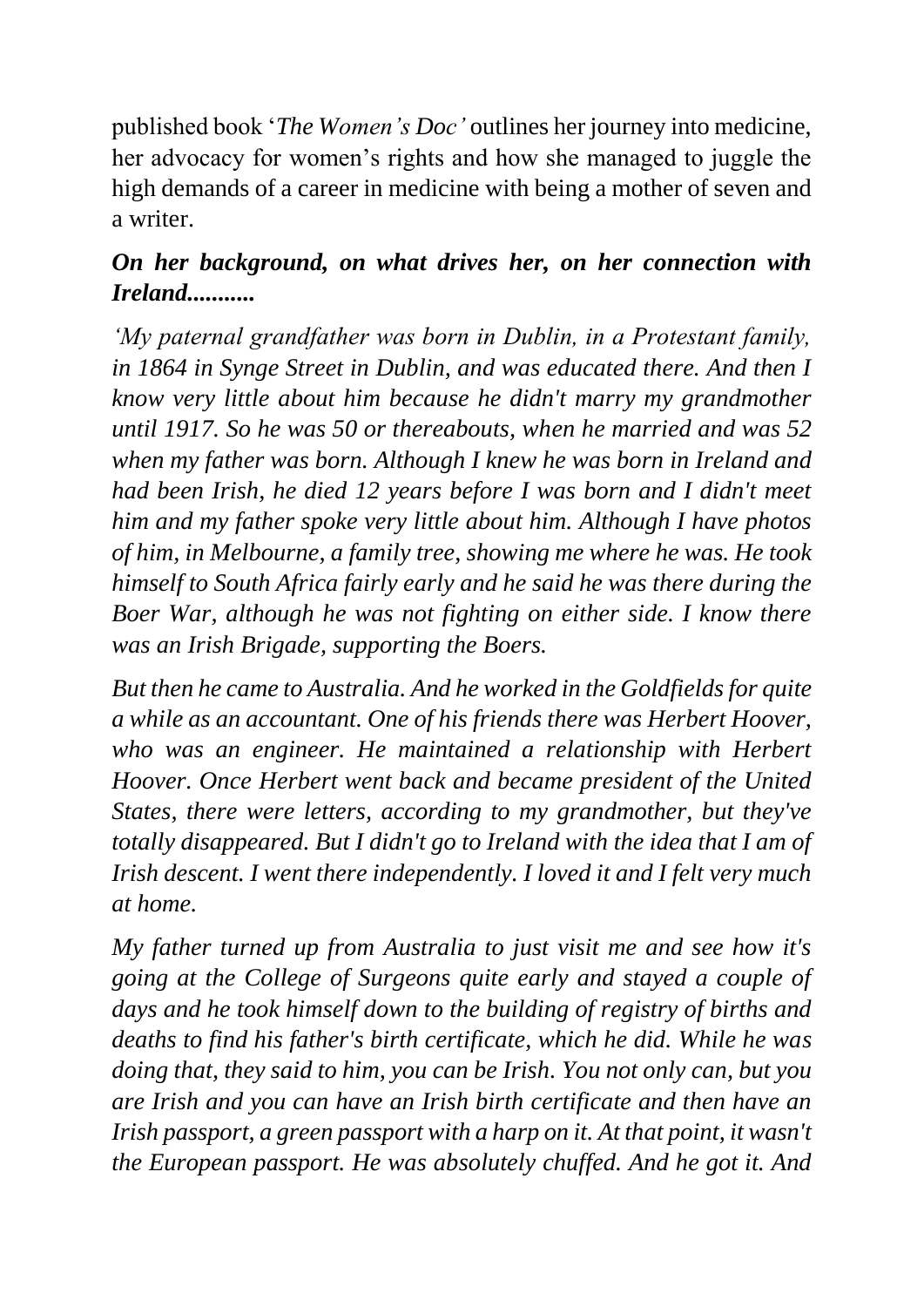published book '*The Women's Doc'* outlines her journey into medicine, her advocacy for women's rights and how she managed to juggle the high demands of a career in medicine with being a mother of seven and a writer.

## *On her background, on what drives her, on her connection with Ireland...........*

*'My paternal grandfather was born in Dublin, in a Protestant family, in 1864 in Synge Street in Dublin, and was educated there. And then I know very little about him because he didn't marry my grandmother until 1917. So he was 50 or thereabouts, when he married and was 52 when my father was born. Although I knew he was born in Ireland and had been Irish, he died 12 years before I was born and I didn't meet him and my father spoke very little about him. Although I have photos of him, in Melbourne, a family tree, showing me where he was. He took himself to South Africa fairly early and he said he was there during the Boer War, although he was not fighting on either side. I know there was an Irish Brigade, supporting the Boers.* 

*But then he came to Australia. And he worked in the Goldfields for quite a while as an accountant. One of his friends there was Herbert Hoover,*  who was an engineer. He maintained a relationship with Herbert *Hoover. Once Herbert went back and became president of the United States, there were letters, according to my grandmother, but they've totally disappeared. But I didn't go to Ireland with the idea that I am of Irish descent. I went there independently. I loved it and I felt very much at home.* 

*My father turned up from Australia to just visit me and see how it's going at the College of Surgeons quite early and stayed a couple of days and he took himself down to the building of registry of births and deaths to find his father's birth certificate, which he did. While he was doing that, they said to him, you can be Irish. You not only can, but you are Irish and you can have an Irish birth certificate and then have an Irish passport, a green passport with a harp on it. At that point, it wasn't the European passport. He was absolutely chuffed. And he got it. And*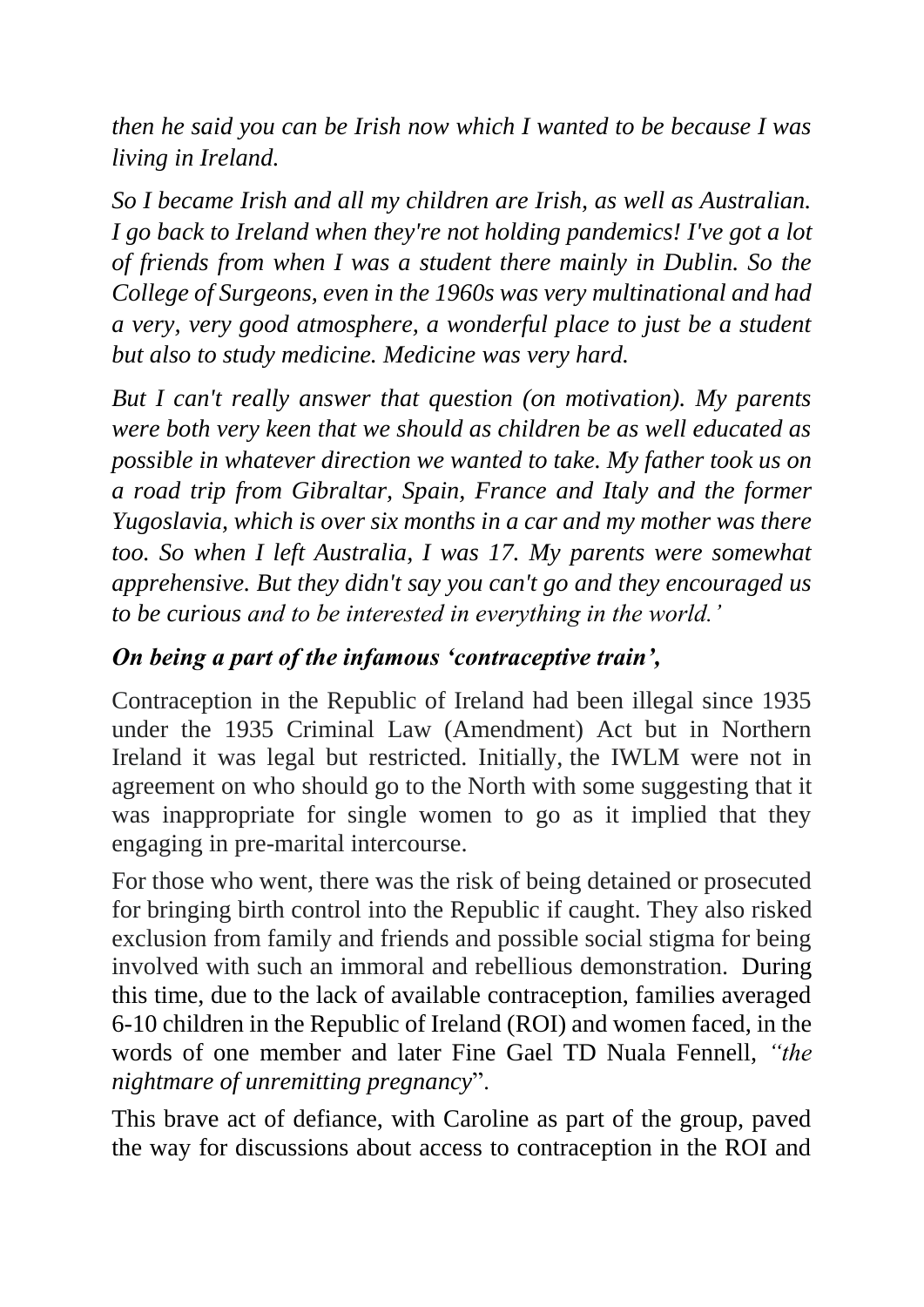*then he said you can be Irish now which I wanted to be because I was living in Ireland.* 

*So I became Irish and all my children are Irish, as well as Australian. I go back to Ireland when they're not holding pandemics! I've got a lot of friends from when I was a student there mainly in Dublin. So the College of Surgeons, even in the 1960s was very multinational and had a very, very good atmosphere, a wonderful place to just be a student but also to study medicine. Medicine was very hard.*

*But I can't really answer that question (on motivation). My parents were both very keen that we should as children be as well educated as possible in whatever direction we wanted to take. My father took us on a road trip from Gibraltar, Spain, France and Italy and the former Yugoslavia, which is over six months in a car and my mother was there too. So when I left Australia, I was 17. My parents were somewhat apprehensive. But they didn't say you can't go and they encouraged us to be curious and to be interested in everything in the world.'* 

### *On being a part of the infamous 'contraceptive train',*

Contraception in the Republic of Ireland had been illegal since 1935 under the 1935 Criminal Law (Amendment) Act but in Northern Ireland it was legal but restricted. Initially, the IWLM were not in agreement on who should go to the North with some suggesting that it was inappropriate for single women to go as it implied that they engaging in pre-marital intercourse.

For those who went, there was the risk of being detained or prosecuted for bringing birth control into the Republic if caught. They also risked exclusion from family and friends and possible social stigma for being involved with such an immoral and rebellious demonstration. During this time, due to the lack of available contraception, families averaged 6-10 children in the Republic of Ireland (ROI) and women faced, in the words of one member and later Fine Gael TD Nuala Fennell, *"the nightmare of unremitting pregnancy*".

This brave act of defiance, with Caroline as part of the group, paved the way for discussions about access to contraception in the ROI and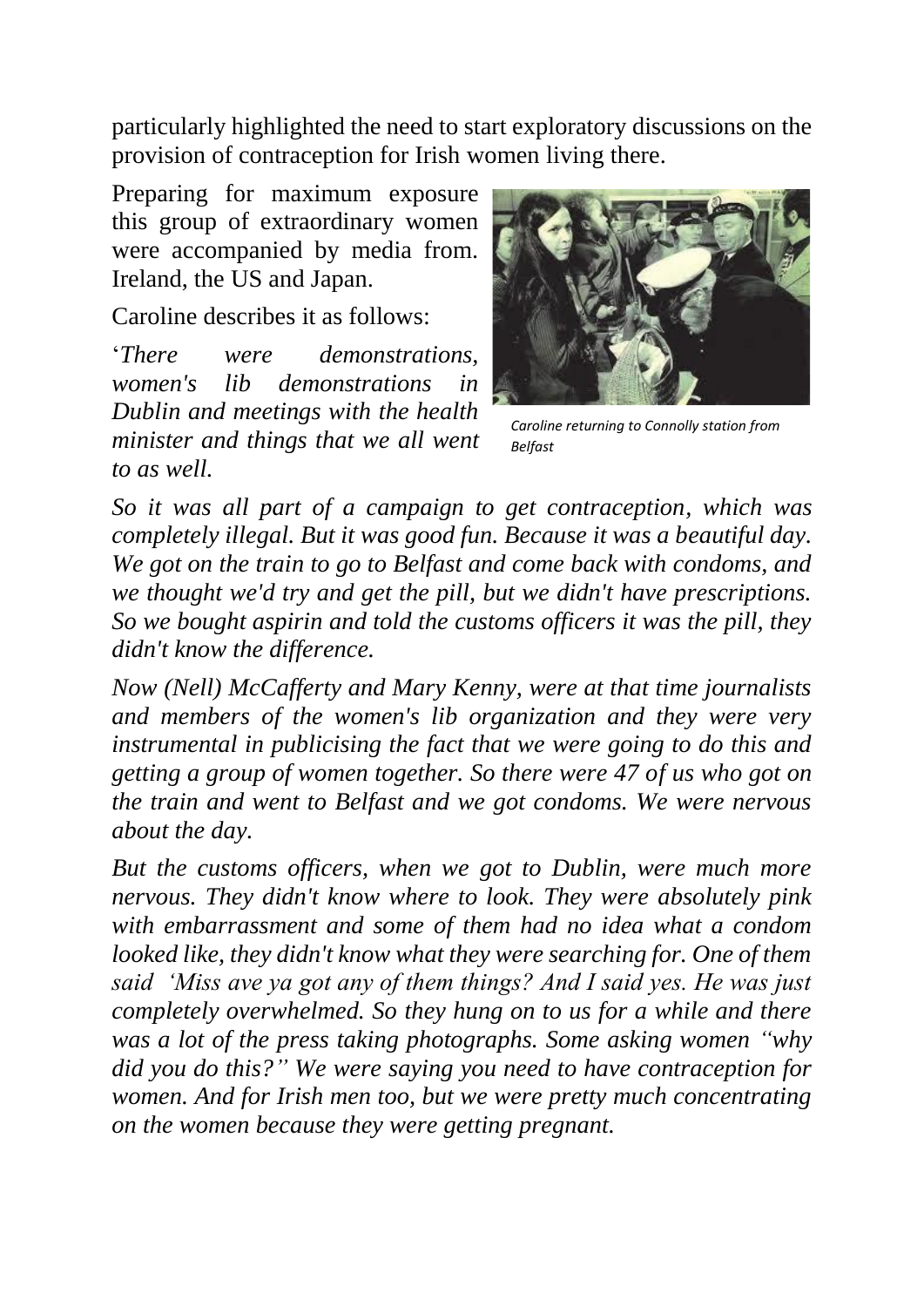particularly highlighted the need to start exploratory discussions on the provision of contraception for Irish women living there.

Preparing for maximum exposure this group of extraordinary women were accompanied by media from. Ireland, the US and Japan.

Caroline describes it as follows:

'*There were demonstrations, women's lib demonstrations in Dublin and meetings with the health minister and things that we all went to as well.* 



*Caroline returning to Connolly station from Belfast*

*So it was all part of a campaign to get contraception, which was completely illegal. But it was good fun. Because it was a beautiful day. We got on the train to go to Belfast and come back with condoms, and we thought we'd try and get the pill, but we didn't have prescriptions. So we bought aspirin and told the customs officers it was the pill, they didn't know the difference.* 

*Now (Nell) McCafferty and Mary Kenny, were at that time journalists and members of the women's lib organization and they were very instrumental in publicising the fact that we were going to do this and getting a group of women together. So there were 47 of us who got on the train and went to Belfast and we got condoms. We were nervous about the day.* 

*But the customs officers, when we got to Dublin, were much more nervous. They didn't know where to look. They were absolutely pink with embarrassment and some of them had no idea what a condom looked like, they didn't know what they were searching for. One of them said 'Miss ave ya got any of them things? And I said yes. He was just completely overwhelmed. So they hung on to us for a while and there was a lot of the press taking photographs. Some asking women "why did you do this?" We were saying you need to have contraception for women. And for Irish men too, but we were pretty much concentrating on the women because they were getting pregnant.*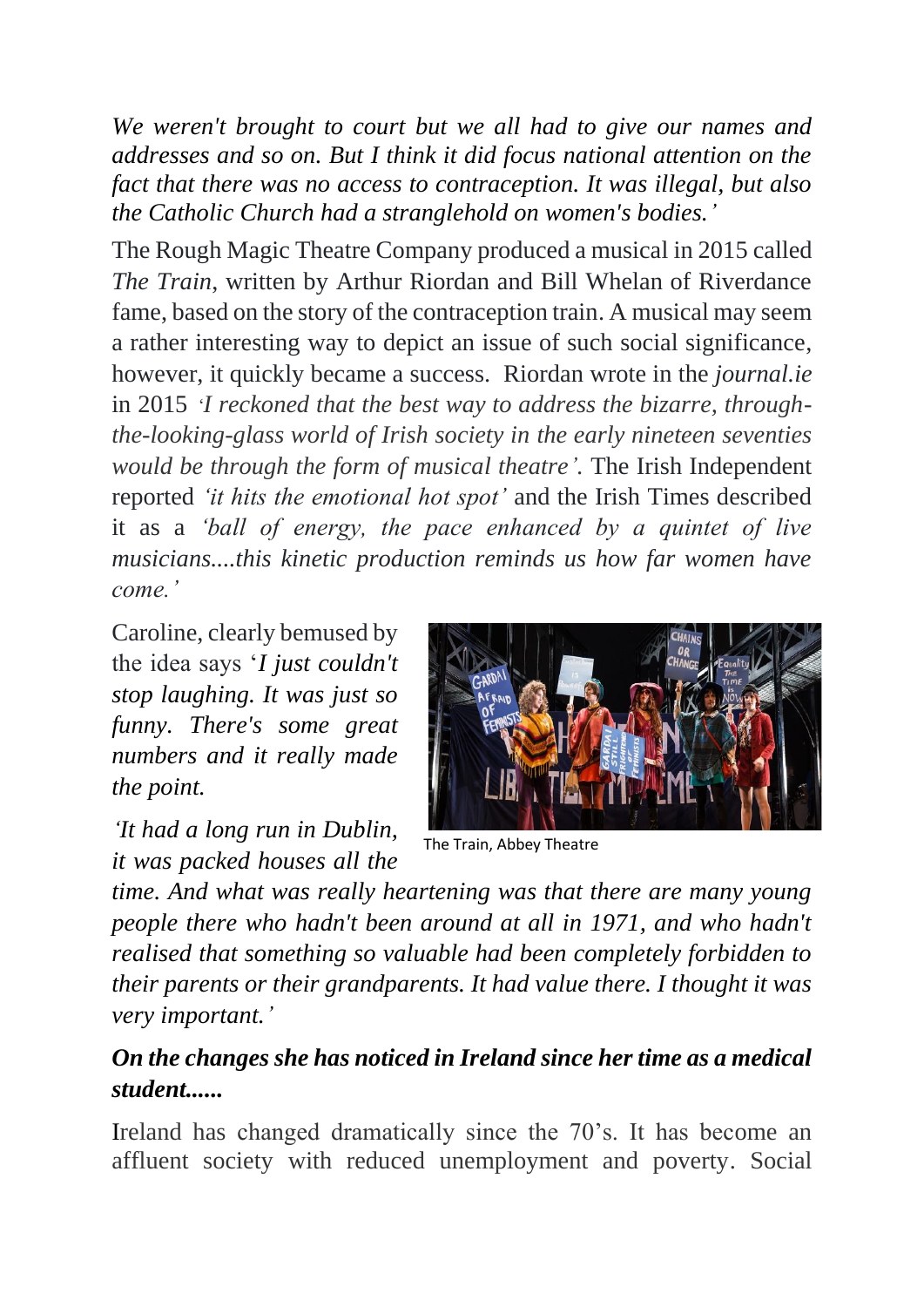*We weren't brought to court but we all had to give our names and addresses and so on. But I think it did focus national attention on the fact that there was no access to contraception. It was illegal, but also the Catholic Church had a stranglehold on women's bodies.'*

The Rough Magic Theatre Company produced a musical in 2015 called *The Train*, written by Arthur Riordan and Bill Whelan of Riverdance fame, based on the story of the contraception train. A musical may seem a rather interesting way to depict an issue of such social significance, however, it quickly became a success. Riordan wrote in the *journal.ie* in 2015 '*I reckoned that the best way to address the bizarre, throughthe-looking-glass world of Irish society in the early nineteen seventies would be through the form of musical theatre'.* The Irish Independent reported *'it hits the emotional hot spot'* and the Irish Times described it as a *'ball of energy, the pace enhanced by a quintet of live musicians....this kinetic production reminds us how far women have come.'*

Caroline, clearly bemused by the idea says '*I just couldn't stop laughing. It was just so funny. There's some great numbers and it really made the point.* 

*'It had a long run in Dublin, it was packed houses all the* 



The Train, Abbey Theatre

*time. And what was really heartening was that there are many young people there who hadn't been around at all in 1971, and who hadn't realised that something so valuable had been completely forbidden to their parents or their grandparents. It had value there. I thought it was very important.'*

# *On the changes she has noticed in Ireland since her time as a medical student......*

Ireland has changed dramatically since the 70's. It has become an affluent society with reduced unemployment and poverty. Social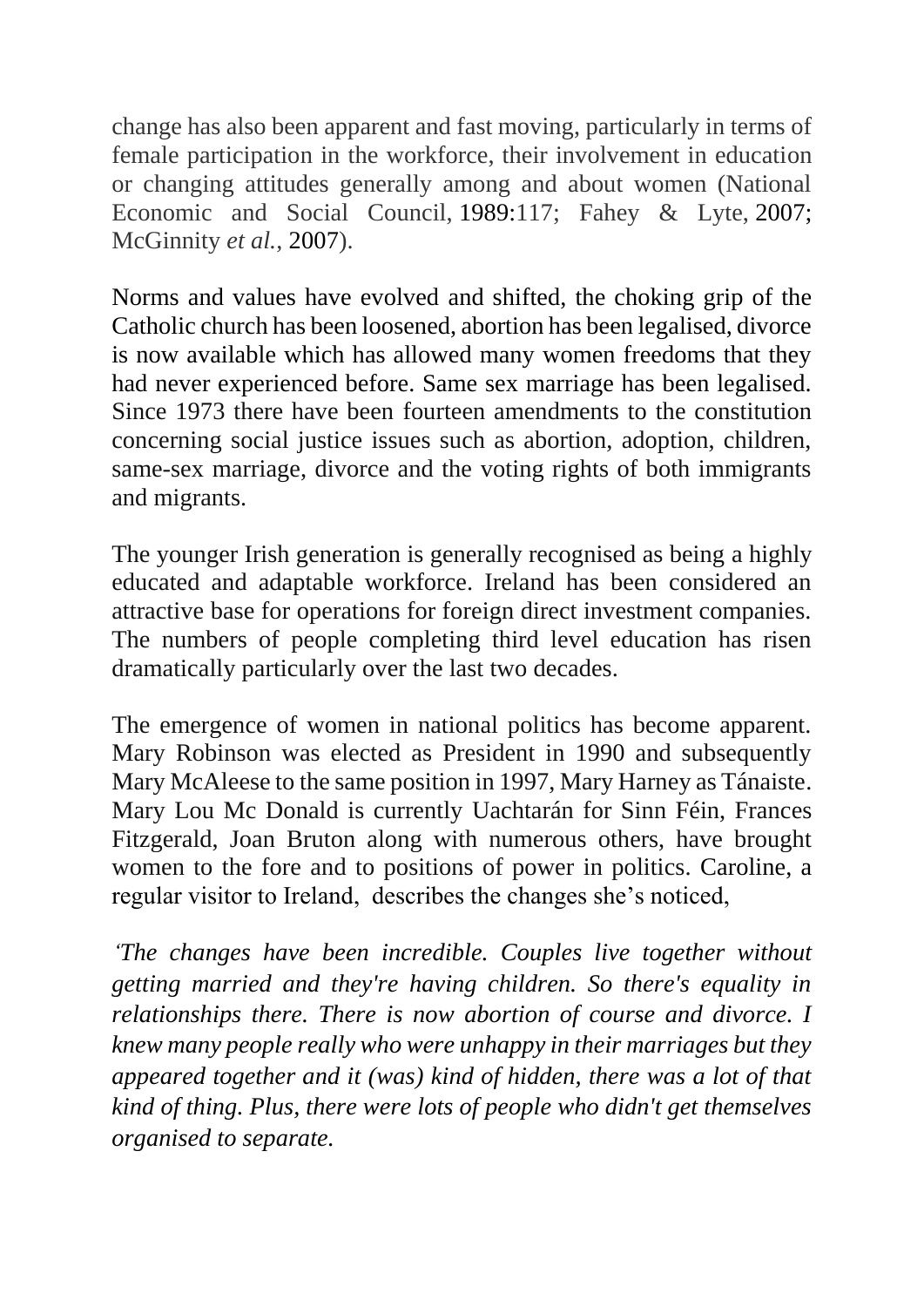change has also been apparent and fast moving, particularly in terms of female participation in the workforce, their involvement in education or changing attitudes generally among and about women (National Economic and Social Council, [1989:](https://www.tandfonline.com/doi/full/10.1080/07907180802452648)117; Fahey & Lyte, [2007;](https://www.tandfonline.com/doi/full/10.1080/07907180802452648) McGinnity *et al.*, [2007\)](https://www.tandfonline.com/doi/full/10.1080/07907180802452648).

Norms and values have evolved and shifted, the choking grip of the Catholic church has been loosened, abortion has been legalised, divorce is now available which has allowed many women freedoms that they had never experienced before. Same sex marriage has been legalised. Since 1973 there have been fourteen amendments to the constitution concerning social justice issues such as abortion, adoption, children, same-sex marriage, divorce and the voting rights of both immigrants and migrants.

The younger Irish generation is generally recognised as being a highly educated and adaptable workforce. Ireland has been considered an attractive base for operations for foreign direct investment companies. The numbers of people completing third level education has risen dramatically particularly over the last two decades.

The emergence of women in national politics has become apparent. Mary Robinson was elected as President in 1990 and subsequently Mary McAleese to the same position in 1997, Mary Harney as Tánaiste. Mary Lou Mc Donald is currently Uachtarán for Sinn Féin, Frances Fitzgerald, Joan Bruton along with numerous others, have brought women to the fore and to positions of power in politics. Caroline, a regular visitor to Ireland, describes the changes she's noticed,

*'The changes have been incredible. Couples live together without getting married and they're having children. So there's equality in relationships there. There is now abortion of course and divorce. I knew many people really who were unhappy in their marriages but they appeared together and it (was) kind of hidden, there was a lot of that kind of thing. Plus, there were lots of people who didn't get themselves organised to separate.*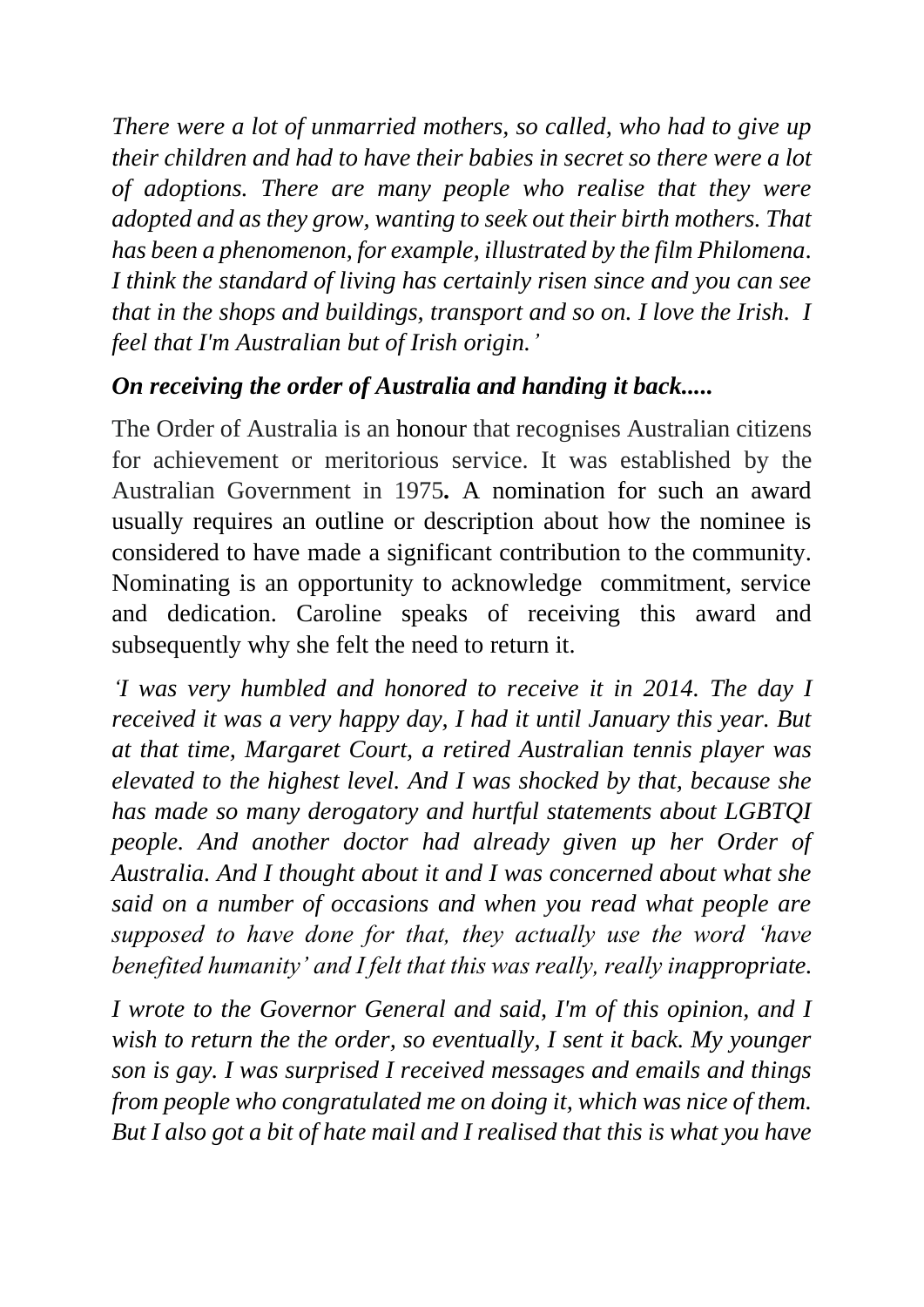*There were a lot of unmarried mothers, so called, who had to give up their children and had to have their babies in secret so there were a lot of adoptions. There are many people who realise that they were adopted and as they grow, wanting to seek out their birth mothers. That has been a phenomenon, for example, illustrated by the film Philomena. I think the standard of living has certainly risen since and you can see that in the shops and buildings, transport and so on. I love the Irish. I feel that I'm Australian but of Irish origin.'*

#### *On receiving the order of Australia and handing it back.....*

The Order of Australia is an [honour](https://en.wikipedia.org/wiki/Order_(distinction)) that recognises Australian citizens for achievement or meritorious service. It was established by the Australian Government in 1975*.* A nomination for such an award usually requires an outline or description about how the nominee is considered to have made a significant contribution to the community. Nominating is an opportunity to acknowledge commitment, service and dedication. Caroline speaks of receiving this award and subsequently why she felt the need to return it.

*'I was very humbled and honored to receive it in 2014. The day I received it was a very happy day, I had it until January this year. But at that time, Margaret Court, a retired Australian tennis player was elevated to the highest level. And I was shocked by that, because she has made so many derogatory and hurtful statements about LGBTQI people. And another doctor had already given up her Order of Australia. And I thought about it and I was concerned about what she said on a number of occasions and when you read what people are supposed to have done for that, they actually use the word 'have benefited humanity' and I felt that this was really, really inappropriate.* 

*I wrote to the Governor General and said, I'm of this opinion, and I*  wish to return the the order, so eventually, I sent it back. My younger *son is gay. I was surprised I received messages and emails and things from people who congratulated me on doing it, which was nice of them. But I also got a bit of hate mail and I realised that this is what you have*